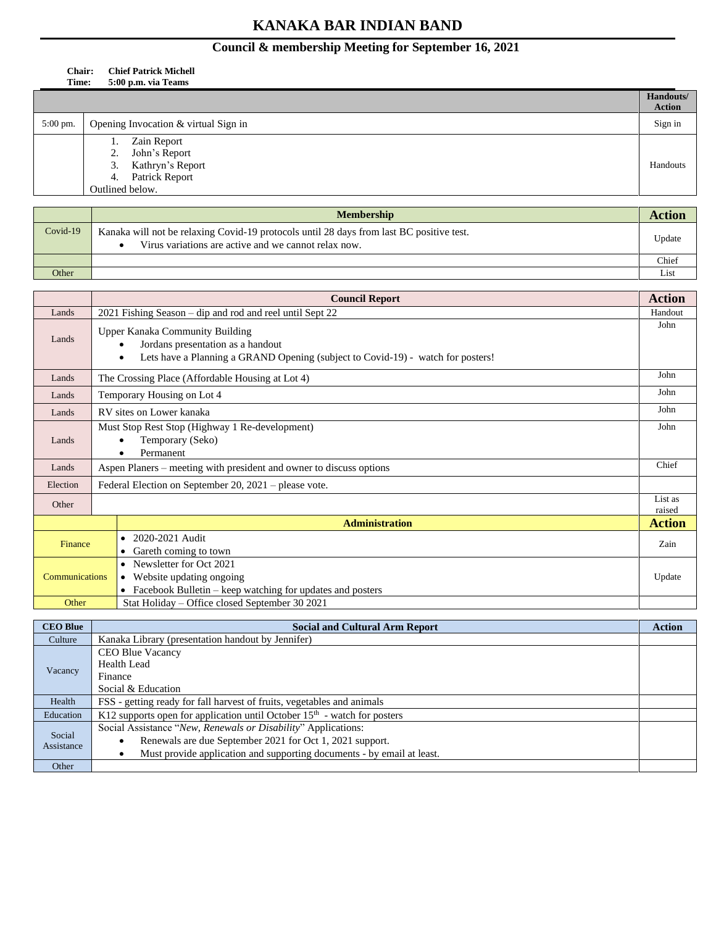## **Council & membership Meeting for September 16, 2021**

## **Chair: Chief Patrick Michell Time: 5:00 p.m. via Teams**

|                     |                                      | Handouts/     |
|---------------------|--------------------------------------|---------------|
|                     |                                      | <b>Action</b> |
| $5:00 \text{ pm}$ . | Opening Invocation & virtual Sign in | Sign in       |
|                     | Zain Report                          |               |
|                     | John's Report<br>2.                  |               |
|                     | Kathryn's Report<br>3.               | Handouts      |
|                     | <b>Patrick Report</b><br>4.          |               |
|                     | Outlined below.                      |               |

|            | <b>Membership</b>                                                                                                                                | Actior |
|------------|--------------------------------------------------------------------------------------------------------------------------------------------------|--------|
| $Covid-19$ | Kanaka will not be relaxing Covid-19 protocols until 28 days from last BC positive test.<br>Virus variations are active and we cannot relax now. | Update |
|            |                                                                                                                                                  | Chief  |
| Other      |                                                                                                                                                  | Lıst   |

|                       | <b>Council Report</b>                                                                                                                                        | <b>Action</b>     |
|-----------------------|--------------------------------------------------------------------------------------------------------------------------------------------------------------|-------------------|
| Lands                 | 2021 Fishing Season – dip and rod and reel until Sept 22                                                                                                     | Handout           |
| Lands                 | Upper Kanaka Community Building<br>Jordans presentation as a handout<br>Lets have a Planning a GRAND Opening (subject to Covid-19) - watch for posters!<br>٠ | John              |
| Lands                 | The Crossing Place (Affordable Housing at Lot 4)                                                                                                             | John              |
| Lands                 | Temporary Housing on Lot 4                                                                                                                                   | John              |
| Lands                 | RV sites on Lower kanaka                                                                                                                                     | John              |
| Lands                 | Must Stop Rest Stop (Highway 1 Re-development)<br>Temporary (Seko)<br>Permanent<br>٠                                                                         | John              |
| Lands                 | Aspen Planers - meeting with president and owner to discuss options                                                                                          | Chief             |
| Election              | Federal Election on September 20, 2021 - please vote.                                                                                                        |                   |
| Other                 |                                                                                                                                                              | List as<br>raised |
|                       | <b>Administration</b>                                                                                                                                        | <b>Action</b>     |
| Finance               | 2020-2021 Audit<br>$\bullet$<br>Gareth coming to town                                                                                                        | Zain              |
| <b>Communications</b> | Newsletter for Oct 2021<br>• Website updating ongoing<br>• Facebook Bulletin – keep watching for updates and posters                                         | Update            |
| Other                 | Stat Holiday – Office closed September 30 2021                                                                                                               |                   |

| <b>CEO Blue</b>      | <b>Social and Cultural Arm Report</b>                                      | <b>Action</b> |
|----------------------|----------------------------------------------------------------------------|---------------|
| Culture              | Kanaka Library (presentation handout by Jennifer)                          |               |
| Vacancy              | CEO Blue Vacancy                                                           |               |
|                      | <b>Health Lead</b>                                                         |               |
|                      | Finance                                                                    |               |
|                      | Social & Education                                                         |               |
| Health               | FSS - getting ready for fall harvest of fruits, vegetables and animals     |               |
| Education            | K12 supports open for application until October $15th$ - watch for posters |               |
|                      | Social Assistance "New, Renewals or Disability" Applications:              |               |
| Social<br>Assistance | Renewals are due September 2021 for Oct 1, 2021 support.                   |               |
|                      | Must provide application and supporting documents - by email at least.     |               |
| Other                |                                                                            |               |